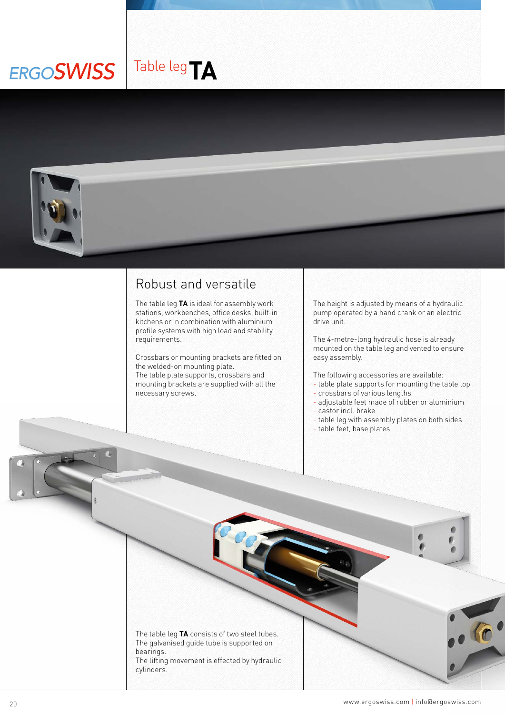## Table leg**TAERGOSWISS**



## Robust and versatile

The table leg **TA** is ideal for assembly work stations, workbenches, office desks, built-in kitchens or in combination with aluminium profile systems with high load and stability requirements.

Crossbars or mounting brackets are fitted on the welded-on mounting plate. The table plate supports, crossbars and mounting brackets are supplied with all the necessary screws.

The height is adjusted by means of a hydraulic pump operated by a hand crank or an electric drive unit.

The 4-metre-long hydraulic hose is already mounted on the table leg and vented to ensure easy assembly.

The following accessories are available:

- table plate supports for mounting the table top - crossbars of various lengths
- adjustable feet made of rubber or aluminium
- castor incl. brake
- table leg with assembly plates on both sides
- table feet, base plates



 $\mathbb{R}^1$